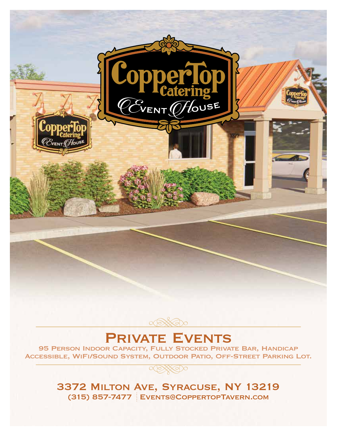



# **PRIVATE EVENTS**

95 Person Indoor Capacity, Fully Stocked Private Bar, Handicap Accessible, WiFi/Sound System, Outdoor Patio, Off-Street Parking Lot.



3372 Milton Ave, Syracuse, NY 13219 (315) 857-7477 Events@CoppertopTavern.com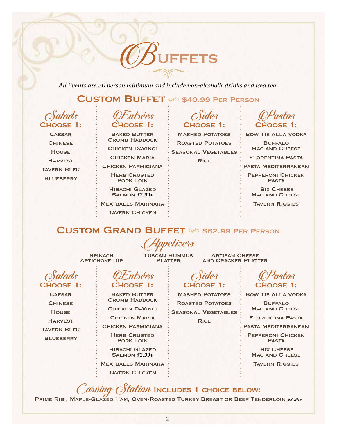FETS

*All Events are 30 person minimum and include non-alcoholic drinks and iced tea.*

## $C$ USTOM BUFFET  $\oslash$  \$40.99 PER PERSON

Salads Choose 1:

**CAESAR CHINESE HOUSE HARVEST TAVERN BLEU BLUEBERRY** 

Salads Choose 1: **CAESAR CHINESE HOUSE HARVEST TAVERN BLEU BLUEBERRY** 



Baked Butter **CRUMB HADDOCK** 

Chicken DaVinci

**CHICKEN MARIA** 

Chicken Parmigiana

**HERB CRUSTED** Pork Loin

Hibachi Glazed Salmon *\$2.99+*

Meatballs Marinara

**TAVERN CHICKEN** 

Entrées Choose 1:

Baked Butter **CRUMB HADDOCK** Chicken DaVinci **CHICKEN MARIA** Chicken Parmigiana **HERB CRUSTED** PORK LOIN Hibachi Glazed Salmon *\$2.99+* Meatballs Marinara **TAVERN CHICKEN** 

### Sides Choose 1:

Mashed Potatoes ROASTED POTATOES Seasonal Vegetables **RICE** 



Bow Tie Alla Vodka Buffalo

MAC AND CHEESE

Florentina Pasta

Pasta Mediterranean

Pepperoni Chicken **PASTA** 

**SIX CHEESE** MAC AND CHEESE

Tavern Riggies

## CUSTOM GRAND BUFFET  $\textdegree$  \$62.99 PER PERSON

Appetizers

**SPINACH ARTICHOKE DIP**  Tuscan Hummus PLATTER

**ARTISAN CHEESE** and Cracker Platter

# Ofides<br>Choose 1:

Mashed Potatoes ROASTED POTATOES Seasonal Vegetables **RICE** 

CPastas CHOOSE 1:

Bow Tie Alla Vodka

**BUFFALO** MAC AND CHEESE

Florentina Pasta

Pasta Mediterranean

Pepperoni Chicken **PASTA** 

**SIX CHEESE MAC AND CHEESE** 

Tavern Riggies

 $C$ arving  $O$ *tation* Includes 1 choice below: PRIME RIB, MAPLE-GLAZED HAM, OVEN-ROASTED TURKEY BREAST OR BEEF TENDERLOIN \$2.99+

2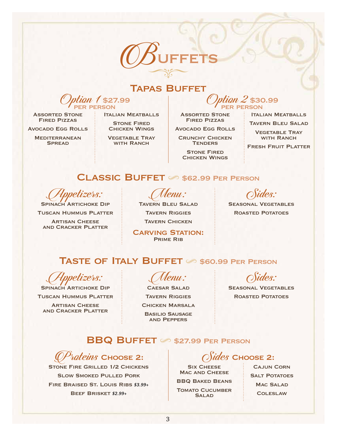

### Tapas Buffet

 $tan 1$  \$27.99 **R PERSON** 

**ASSORTED STONE** Fired Pizzas

Avocado Egg Rolls

**MEDITERRANEAN SPREAD** 

Italian Meatballs

**STONE FIRED** Chicken Wings

Vegetable Tray WITH RANCH

 $\mathit{tan}$  2 \$30.99 per person

**ASSORTED STONE** Fired Pizzas

Avocado Egg Rolls

**CRUNCHY CHICKEN TENDERS** 

**STONE FIRED** Chicken Wings ITALIAN MEATBALLS

Tavern Bleu Salad

Vegetable Tray WITH RANCH

Fresh Fruit Platter

## $CLASSIC$  BUFFET  $\oslash$  \$62.99 PER PERSON

etizers:

SPINACH ARTICHOKE DIP Tuscan Hummus Platter **ARTISAN CHEESE** and Cracker Platter

Wenu:<br>Tavern Bleu Salad Tavern Riggies **TAVERN CHICKEN** 

**CARVING STATION:** Prime Rib

Sides:

Seasonal Vegetables Roasted Potatoes

## TASTE OF ITALY BUFFET 6 \$60.99 PER PERSON

petizers: SPINACH ARTICHOKE DIP

Tuscan Hummus Platter

**ARTISAN CHEESE** and Cracker Platter

Menu:

**CAESAR SALAD TAVERN RIGGIES** Chicken Marsala Basilio Sausage and Peppers

SEASONAL VEGETABLES

ROASTED POTATOES

## $BBQ$  BUFFET  $\oslash$  \$27.99 PER PERSON

r*ateins* Choose 2:

STONE FIRE GRILLED 1/2 CHICKENS Slow Smoked Pulled Pork Fire Braised St. Louis Ribs *\$3.99+* Beef Brisket *\$2.99+*

 $\mathit{les}$  Choose 2:

**SIX CHEESE** MAC AND CHEESE

BBQ Baked Beans

**TOMATO CUCUMBER SALAD** 

Cajun Corn **SALT POTATOES** MAC SALAD **COLESLAW**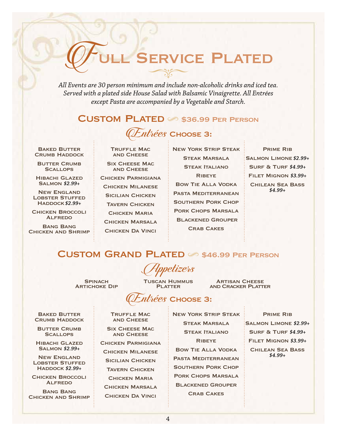# SERVICE PLATED

*All Events are 30 person minimum and include non-alcoholic drinks and iced tea. Served with a plated side House Salad with Balsamic Vinaigrette. All Entrées except Pasta are accompanied by a Vegetable and Starch.*

### CUSTOM PLATED 6 \$36.99 PER PERSON



Baked Butter **CRUMB HADDOCK** 

**BUTTER CRUMB SCALLOPS** 

Hibachi Glazed Salmon *\$2.99+*

New England **LOBSTER STUFFED** Haddock *\$2.99+*

Chicken Broccoli Alfredo

Bang Bang Chicken and Shrimp Truffle Mac and Cheese

Six Cheese Mac and Cheese

Chicken Parmigiana Chicken Milanese **SICILIAN CHICKEN** Tavern Chicken **CHICKEN MARIA** Chicken Marsala Chicken Da Vinci

New York Strip Steak **STEAK MARSALA STEAK ITALIANO RIBEYE** Bow Tie Alla Vodka Pasta Mediterranean Southern Pork Chop Pork Chops Marsala Blackened Grouper **CRAB CAKES** 

Prime Rib Salmon Limone *\$2.99+* Surf & Turf *\$4.99+* Filet Mignon *\$3.99+* Chilean Sea Bass *\$4.99+*

### $CUSTOM$   $GRAND$   $PLATED$   $\otimes$  \$46.99 PER PERSON

**SPINACH ARTICHOKE DIP**  Tuscan Hummus PI ATTER

retizers

**ARTISAN CHEESE** and Cracker Platter

# $th\acute{e}es$  Choose 3:

Baked Butter **CRUMB HADDOCK** 

**BUTTER CRUMB SCALLOPS** 

Hibachi Glazed Salmon *\$2.99+*

New England LOBSTER STUFFED Haddock *\$2.99+*

Chicken Broccoli **ALFREDO** 

Bang Bang Chicken and Shrimp Truffle Mac and Cheese

**SIX CHEESE MAC** and Cheese Chicken Parmigiana Chicken Milanese Sicilian Chicken **TAVERN CHICKEN CHICKEN MARIA** Chicken Marsala Chicken Da Vinci

Steak Marsala **STEAK ITALIANO RIBEYE** Bow Tie Alla Vodka Pasta Mediterranean Southern Pork Chop Pork Chops Marsala Blackened Grouper Crab Cakes

New York Strip Steak

Prime Rib Salmon Limone *\$2.99+* Surf & Turf *\$4.99+* Filet Mignon *\$3.99+* Chilean Sea Bass *\$4.99+*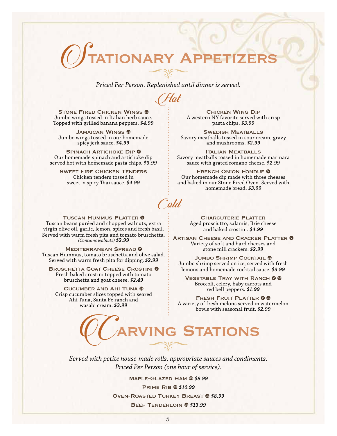# **ONARY APPET**

*Priced Per Person. Replenished until dinner is served.*

Hot

STONE FIRED CHICKEN WINGS ® Jumbo wings tossed in Italian herb sauce. Topped with grilled banana peppers. *\$4.99*

Jamaican Wings Jumbo wings tossed in our homemade spicy jerk sauce. *\$4.99*

SPINACH ARTICHOKE DIP <sup>0</sup> Our homemade spinach and artichoke dip served hot with homemade pasta chips. *\$3.99*

Sweet Fire Chicken Tenders Chicken tenders tossed in sweet 'n spicy Thai sauce. *\$4.99*

Chicken Wing Dip A western NY favorite served with crisp pasta chips. *\$3.99*

SWEDISH MEATBALLS Savory meatballs tossed in sour cream, gravy and mushrooms. *\$2.99*

Italian Meatballs Savory meatballs tossed in homemade marinara sauce with grated romano cheese. *\$2.99*

FRENCH ONION FONDUE <sup>0</sup> Our homemade dip made with three cheeses and baked in our Stone Fired Oven. Served with homemade bread. *\$3.99*

Cold

TUSCAN HUMMUS PLATTER <sup>0</sup> Tuscan beans puréed and chopped walnuts, extra virgin olive oil, garlic, lemon, spices and fresh basil. Served with warm fresh pita and tomato bruschetta. *(Contains walnuts) \$2.99*

**MEDITERRANEAN SPREAD O** Tuscan Hummus, tomato bruschetta and olive salad. Served with warm fresh pita for dipping. *\$2.99*

BRUSCHETTA GOAT CHEESE CROSTINI <sup>0</sup> Fresh baked crostini topped with tomato bruschetta and goat cheese. *\$2.49*

Cucumber and Ahi Tuna Crisp cucumber slices topped with seared Ahi Tuna, Santa Fe ranch and wasabi cream. *\$3.99*

**CHARCUTERIE PLATTER** Aged prosciutto, salamis, Brie cheese and baked crostini. *\$4.99*

ARTISAN CHEESE AND CRACKER PLATTER **O** Variety of soft and hard cheeses and stone mill crackers. *\$2.99*

**JUMBO SHRIMP COCKTAIL ®** Jumbo shrimp served on ice, served with fresh lemons and homemade cocktail sauce. *\$3.99*

VEGETABLE TRAY WITH RANCH 0 ® Broccoli, celery, baby carrots and red bell peppers. *\$1.99*

FRESH FRUIT PLATTER 0 ® A variety of fresh melons served in watermelon bowls with seasonal fruit. *\$2.99*

# **RVING STATIONS**

*Served with petite house-made rolls, appropriate sauces and condiments. Priced Per Person (one hour of service).*

> Maple-Glazed Ham *\$8.99* Prime Rib *\$10.99* Oven-Roasted Turkey Breast *\$8.99* Beef Tenderloin *\$13.99*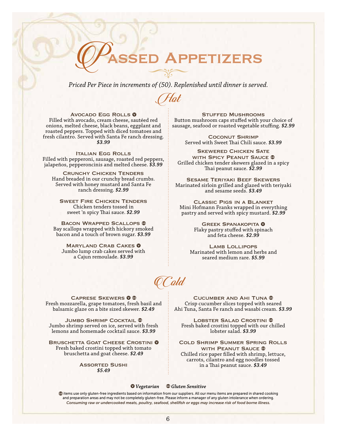# **APPETIZERS**

*Priced Per Piece in increments of (50). Replenished until dinner is served.*

Hot

AVOCADO EGG ROLLS <sup>0</sup> Filled with avocado, cream cheese, sautéed red onions, melted cheese, black beans, eggplant and roasted peppers. Topped with diced tomatoes and fresh cilantro. Served with Santa Fe ranch dressing. *\$3.99*

Italian Egg Rolls Filled with pepperoni, sausage, roasted red peppers, jalapeños, pepperoncinis and melted cheese. *\$3.99*

Crunchy Chicken Tenders Hand breaded in our crunchy bread crumbs. Served with honey mustard and Santa Fe ranch dressing. *\$2.99*

Sweet Fire Chicken Tenders Chicken tenders tossed in sweet 'n spicy Thai sauce. *\$2.99*

Bacon Wrapped Scallops Bay scallops wrapped with hickory smoked bacon and a touch of brown sugar. *\$3.99*

MARYLAND CRAB CAKES 0 Jumbo lump crab cakes served with a Cajun remoulade. *\$3.99*

Stuffed Mushrooms Button mushroom caps stuffed with your choice of sausage, seafood or roasted vegetable stuffing. *\$2.99*

> **COCONUT SHRIMP** Served with Sweet Thai Chili sauce. *\$3.99*

**SKEWERED CHICKEN SATE** WITH SPICY PEANUT SAUCE ® Grilled chicken tender skewers glazed in a spicy Thai peanut sauce. *\$2.99*

Sesame Teriyaki Beef Skewers Marinated sirloin grilled and glazed with teriyaki and sesame seeds. *\$3.49*

Classic Pigs in a Blanket Mini Hofmann Franks wrapped in everything pastry and served with spicy mustard. *\$2.99*

> **GREEK SPANAKOPITA 0** Flaky pastry stuffed with spinach and feta cheese. *\$2.99*

LAMB LOLLIPOPS Marinated with lemon and herbs and seared medium rare. *\$5.99*

Cucumber and Ahi Tuna Crisp cucumber slices topped with seared Ahi Tuna, Santa Fe ranch and wasabi cream. *\$3.99*

LOBSTER SALAD CROSTINI ® Fresh baked crostini topped with our chilled lobster salad. *\$3.99*

Cold Shrimp Summer Spring Rolls WITH PEANUT SAUCE ® Chilled rice paper filled with shrimp, lettuce, carrots, cilantro and egg noodles tossed in a Thai peanut sauce. *\$3.49*

Cold

CAPRESE SKEWERS 0 ® Fresh mozzarella, grape tomatoes, fresh basil and balsamic glaze on a bite sized skewer. *\$2.49*

**JUMBO SHRIMP COCKTAIL ®** Jumbo shrimp served on ice, served with fresh lemons and homemade cocktail sauce. *\$3.99*

BRUSCHETTA GOAT CHEESE CROSTINI 0 Fresh baked crostini topped with tomato bruschetta and goat cheese. *\$2.49*

> Assorted Sushi *\$5.49*

 *Vegetarian Gluten Sensitive*

items use only gluten-free ingredients based on information from our suppliers. All our menu items are prepared in shared cooking and preparation areas and may not be completely gluten-free. Please inform a manager of any gluten intolerance when ordering. *Consuming raw or undercooked meats, poultry, seafood, shellfish or eggs may increase risk of food borne illness.*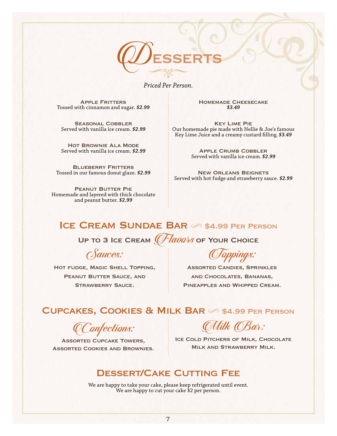

*Priced Per Person.*

**APPLE FRITTERS** Tossed with cinnamon and sugar. *\$2.99*

SEASONAL COBBLER Served with vanilla ice cream. *\$2.99*

Hot Brownie Ala Mode Served with vanilla ice cream. *\$2.99*

**BLUEBERRY FRITTERS** Tossed in our famous donut glaze. *\$2.99*

Peanut Butter Pie Homemade and layered with thick chocolate and peanut butter. *\$2.99*

Homemade Cheesecake *\$3.49*

Key Lime Pie Our homemade pie made with Nellie & Joe's famous Key Lime Juice and a creamy custard filling. *\$3.49*

> Apple Crumb Cobbler Served with vanilla ice cream. *\$2.99*

New Orleans Beignets Served with hot fudge and strawberry sauce. *\$2.99*

### ICE CREAM SUNDAE BAR  $\otimes$  \$4.99 PER PERSON

UP TO 3 ICE CREAM  $\mathbb{C}$  /  $\mathbb{Z}$  and  $\mathbb{Z}$  of Your Choice

Sauces:

Hot fudge, Magic Shell Topping, PEANUT BUTTER SAUCE, AND STRAWBERRY SAUCE.

Toppings:

Assorted Candies, Sprinkles and Chocolates, Bananas, Pineapples and Whipped Cream.

### CUPCAKES, COOKIES & MILK BAR 6 \$4.99 PER PERSON

Confections:

Assorted Cupcake Towers, Assorted Cookies and Brownies.

Milk Bar:

ICE COLD PITCHERS OF MILK, CHOCOLATE Milk and Strawberry Milk.

### Dessert/Cake Cutting Fee

We are happy to take your cake, please keep refrigerated until event. We are happy to cut your cake \$2 per person.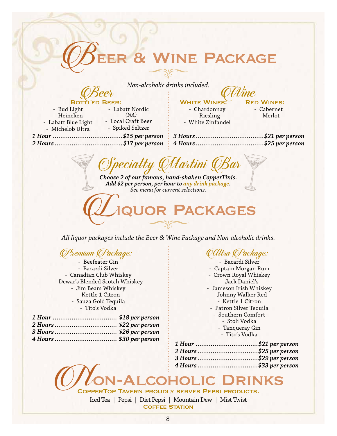# & WINE PACKAGE

Non-alcoholic drinks included.

#### **BOTT** EER:

- Bud Light - Heineken - Labatt Blue Light - Michelob Ultra

- Labatt Nordic  $(NA)$ - Local Craft Beer - Spiked Seltzer

 **WHITE WINES:** - Chardonnay - Riesling - White Zinfandel **RED WINES:** 

- Cabernet - Merlot

Choose 2 of our famous, hand-shaken CopperTinis. Add \$2 per person, per hour to <u>any drink package</u>. See menu for current selections.

# **JOR PACKAGES**

All liquor packages include the Beer & Wine Package and Non-alcoholic drinks.

### OPremium OPackage:

- Beefeater Gin - Bacardi Silver - Canadian Club Whiskey - Dewar's Blended Scotch Whiskey - Jim Beam Whiskey - Kettle 1 Citron - Sauza Gold Tequila - Tito's Vodka

| 4 Hours  \$30 per person |  |
|--------------------------|--|

## *QUItra QPackage:*

- Bacardi Silver - Captain Morgan Rum - Crown Royal Whiskey - Jack Daniel's - Jameson Irish Whiskey - Johnny Walker Red - Kettle 1 Citron - Patron Silver Tequila - Southern Comfort - Stoli Vodka - Tanqueray Gin - Tito's Vodka

| 1 Hour \$21 per person  |  |
|-------------------------|--|
| 2 Hours \$25 per person |  |
| 3 Hours \$29 per person |  |
| 4 Hours \$33 per person |  |
|                         |  |

# COHO

COPPERTOP TAVERN PROUDLY SERVES PEPSI PRODUCTS.

Iced Tea | Pepsi | Diet Pepsi | Mountain Dew | Mist Twist **COFFEE STATION**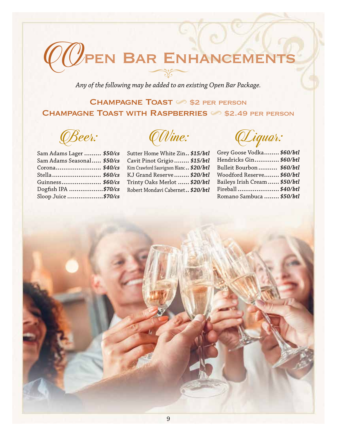

Any of the following may be added to an existing Open Bar Package.

## **CHAMPAGNE TOAST S2 PER PERSON CHAMPAGNE TOAST WITH RASPBERRIES 6 \$2.49 PER PERSON**

*CBeer:* 

| Sam Adams Lager  \$50/cs   |  |
|----------------------------|--|
| Sam Adams Seasonal \$50/cs |  |
| Corona \$40/cs             |  |
| Stella \$60/cs             |  |
| Guinness \$60/cs           |  |
| Dogfish IPA \$70/cs        |  |
| Sloop Juice \$70/cs        |  |
|                            |  |

*QWine:* 

Sutter Home White Zin., \$15/btl Cavit Pinot Grigio ........ \$15/btl Kim Crawford Sauvignon Blanc.. \$20/btl KJ Grand Reserve ........ \$20/btl Trinty Oaks Merlot ...... \$20/btl Robert Mondavi Cabernet.. \$20/btl

(Liquor:

| Grey Goose Vodka \$60/btl     |
|-------------------------------|
| Hendricks Gin \$60/btl        |
| Bulleit Bourbon  \$60/btl     |
| Woodford Reserve \$60/btl     |
| Baileys Irish Cream  \$50/btl |
| Fireball\$40/btl              |
| Romano Sambuca  \$50/btl      |
|                               |

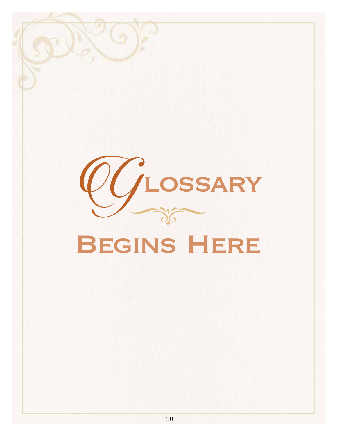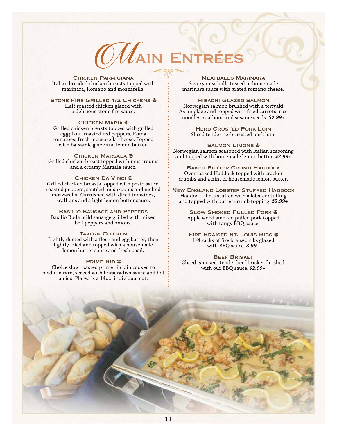

Chicken Parmigiana Italian breaded chicken breasts topped with marinara, Romano and mozzarella.

STONE FIRE GRILLED 1/2 CHICKENS ® Half roasted chicken glazed with a delicious stone fire sauce.

**CHICKEN MARIA ®** Grilled chicken breasts topped with grilled eggplant, roasted red peppers, Roma tomatoes, fresh mozzarella cheese. Topped with balsamic glaze and lemon butter.

**CHICKEN MARSALA ®** Grilled chicken breast topped with mushrooms and a creamy Marsala sauce.

**CHICKEN DA VINCI ®** Grilled chicken breasts topped with pesto sauce, roasted peppers, sautéed mushrooms and melted mozzarella. Garnished with diced tomatoes, scallions and a light lemon butter sauce.

Basilio Sausage and Peppers Basilio Buda mild sausage grilled with mixed bell peppers and onions.

Tavern Chicken Lightly dusted with a flour and egg batter, then lightly fried and topped with a housemade lemon butter sauce and fresh basil.

#### Prime Rib

Choice slow roasted prime rib loin cooked to medium rare, served with horseradish sauce and hot au jus. Plated is a 14oz. individual cut.

Meatballs Marinara Savory meatballs tossed in homemade marinara sauce with grated romano cheese.

Hibachi Glazed Salmon Norwegian salmon brushed with a teriyaki Asian glaze and topped with fried carrots, rice noodles, scallions and sesame seeds. *\$2.99+*

> **HERB CRUSTED PORK LOIN** Sliced tender herb crusted pork loin.

SALMON LIMONE<sup>®</sup> Norwegian salmon seasoned with Italian seasoning and topped with homemade lemon butter. *\$2.99+*

**BAKED BUTTER CRUMB HADDOCK** Oven-baked Haddock topped with cracker crumbs and a hint of housemade lemon butter.

New England Lobster Stuffed Haddock Haddock fillets stuffed with a lobster stuffing and topped with butter crumb topping. *\$2.99+*

> **SLOW SMOKED PULLED PORK ®** Apple wood smoked pulled pork topped with tangy BBQ sauce.

FIRE BRAISED ST. LOUIS RIBS ® 1/4 racks of fire braised ribs glazed with BBQ sauce. *3.99+*

Beef Brisket Sliced, smoked, tender beef brisket finished with our BBQ sauce. *\$2.99+*

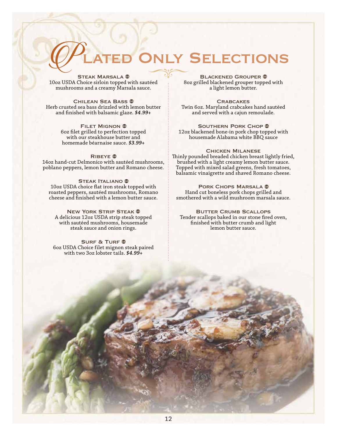# ONLY SELECTIONS

STEAK MARSALA ® 10oz USDA Choice sirloin topped with sautéed mushrooms and a creamy Marsala sauce.

Chilean Sea Bass Herb crusted sea bass drizzled with lemon butter and finished with balsamic glaze. *\$4.99+*

> **FILET MIGNON ®** 6oz filet grilled to perfection topped with our steakhouse butter and homemade béarnaise sauce. *\$3.99+*

#### RIBEYE<sup>®</sup>

14oz hand-cut Delmonico with sautéed mushrooms, poblano peppers, lemon butter and Romano cheese.

**STEAK ITALIANO ®** 10oz USDA choice flat iron steak topped with roasted peppers, sautéed mushrooms, Romano cheese and finished with a lemon butter sauce.

**NEW YORK STRIP STEAK ®** A delicious 12oz USDA strip steak topped with sautéed mushrooms, housemade steak sauce and onion rings.

SURF & TURF <sup>®</sup> 6oz USDA Choice filet mignon steak paired with two 3oz lobster tails. *\$4.99+*

BLACKENED GROUPER ® 8oz grilled blackened grouper topped with a light lemon butter.

**CRABCAKES** Twin 6oz. Maryland crabcakes hand sautéed and served with a cajun remoulade.

SOUTHERN PORK CHOP ® 12oz blackened bone-in pork chop topped with housemade Alabama white BBQ sauce

#### Chicken Milanese

Thinly pounded breaded chicken breast lightly fried, brushed with a light creamy lemon butter sauce. Topped with mixed salad greens, fresh tomatoes, balsamic vinaigrette and shaved Romano cheese.

PORK CHOPS MARSALA ® Hand cut boneless pork chops grilled and smothered with a wild mushroom marsala sauce.

**BUTTER CRUMB SCALLOPS** Tender scallops baked in our stone fired oven, finished with butter crumb and light lemon butter sauce.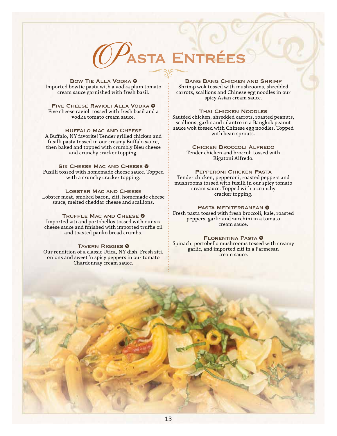

BOW TIE ALLA VODKA <sup>0</sup> Imported bowtie pasta with a vodka plum tomato cream sauce garnished with fresh basil.

FIVE CHEESE RAVIOLI ALLA VODKA <sup>0</sup> Five cheese ravioli tossed with fresh basil and a vodka tomato cream sauce.

Buffalo Mac and Cheese A Buffalo, NY favorite! Tender grilled chicken and fusilli pasta tossed in our creamy Buffalo sauce, then baked and topped with crumbly Bleu cheese and crunchy cracker topping.

SIX CHEESE MAC AND CHEESE 0 Fusilli tossed with homemade cheese sauce. Topped with a crunchy cracker topping.

Lobster Mac and Cheese Lobster meat, smoked bacon, ziti, homemade cheese sauce, melted cheddar cheese and scallions.

TRUFFLE MAC AND CHEESE **O** Imported ziti and portobellos tossed with our six cheese sauce and finished with imported truffle oil and toasted panko bread crumbs.

**TAVERN RIGGIES 0** Our rendition of a classic Utica, NY dish. Fresh ziti, onions and sweet 'n spicy peppers in our tomato Chardonnay cream sauce.

Bang Bang Chicken and Shrimp Shrimp wok tossed with mushrooms, shredded carrots, scallions and Chinese egg noodles in our spicy Asian cream sauce.

Thai Chicken Noodles Sautéed chicken, shredded carrots, roasted peanuts, scallions, garlic and cilantro in a Bangkok peanut sauce wok tossed with Chinese egg noodles. Topped with bean sprouts.

> Chicken Broccoli Alfredo Tender chicken and broccoli tossed with Rigatoni Alfredo.

Pepperoni Chicken Pasta Tender chicken, pepperoni, roasted peppers and mushrooms tossed with fusilli in our spicy tomato cream sauce. Topped with a crunchy cracker topping.

PASTA MEDITERRANEAN <sup>0</sup> Fresh pasta tossed with fresh broccoli, kale, roasted peppers, garlic and zucchini in a tomato cream sauce.

FLORENTINA PASTA <sup>0</sup> Spinach, portobello mushrooms tossed with creamy garlic, and imported ziti in a Parmesan cream sauce.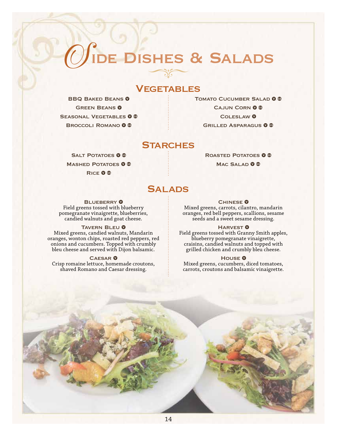# **IDE DISHES & SALADS**

### **VEGETABLES**

BBQ BAKED BEANS<sup>O</sup> **GREEN BEANS 0** SEASONAL VEGETABLES 0 ® BROCCOLI ROMANO<sup>O</sup>

TOMATO CUCUMBER SALAD **O** ® CAJUN CORN 0 ® COLESLAW<sup>O</sup> GRILLED ASPARAGUS 0 ®

### **STARCHES**

SALT POTATOES 0 ® MASHED POTATOES 0 ® RICE **O** ®

ROASTED POTATOES 0 ® MAC SALAD **O** ®

### **SALADS**

**BLUEBERRY 0** Field greens tossed with blueberry

pomegranate vinaigrette, blueberries, candied walnuts and goat cheese.

TAVERN BLEU <sup>O</sup>

Mixed greens, candied walnuts, Mandarin oranges, wonton chips, roasted red peppers, red onions and cucumbers. Topped with crumbly bleu cheese and served with Dijon balsamic.

**CAESAR 0** 

Crisp romaine lettuce, homemade croutons, shaved Romano and Caesar dressing.

**CHINESE 0** Mixed greens, carrots, cilantro, mandarin oranges, red bell peppers, scallions, sesame seeds and a sweet sesame dressing.

HARVEST<sup>O</sup>

Field greens tossed with Granny Smith apples, blueberry pomegranate vinaigrette, craisins, candied walnuts and topped with grilled chicken and crumbly bleu cheese.

HOUSE<sup>O</sup>

Mixed greens, cucumbers, diced tomatoes, carrots, croutons and balsamic vinaigrette.